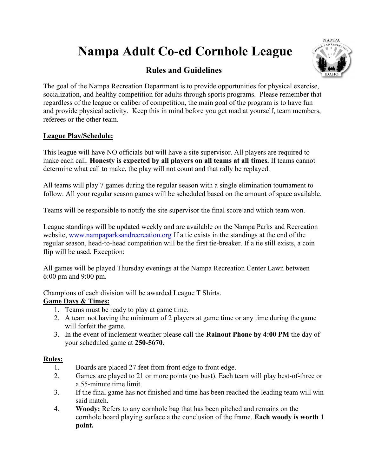# Nampa Adult Co-ed Cornhole League

## Rules and Guidelines



The goal of the Nampa Recreation Department is to provide opportunities for physical exercise, socialization, and healthy competition for adults through sports programs. Please remember that regardless of the league or caliber of competition, the main goal of the program is to have fun and provide physical activity. Keep this in mind before you get mad at yourself, team members, referees or the other team.

#### League Play/Schedule:

This league will have NO officials but will have a site supervisor. All players are required to make each call. Honesty is expected by all players on all teams at all times. If teams cannot determine what call to make, the play will not count and that rally be replayed.

All teams will play 7 games during the regular season with a single elimination tournament to follow. All your regular season games will be scheduled based on the amount of space available.

Teams will be responsible to notify the site supervisor the final score and which team won.

League standings will be updated weekly and are available on the Nampa Parks and Recreation website, www.nampaparksandrecreation.org If a tie exists in the standings at the end of the regular season, head-to-head competition will be the first tie-breaker. If a tie still exists, a coin flip will be used. Exception:

All games will be played Thursday evenings at the Nampa Recreation Center Lawn between 6:00 pm and 9:00 pm.

Champions of each division will be awarded League T Shirts.

#### Game Days & Times:

- 1. Teams must be ready to play at game time.
- 2. A team not having the minimum of 2 players at game time or any time during the game will forfeit the game.
- 3. In the event of inclement weather please call the Rainout Phone by 4:00 PM the day of your scheduled game at 250-5670.

#### Rules:

- 1. Boards are placed 27 feet from front edge to front edge.
- 2. Games are played to 21 or more points (no bust). Each team will play best-of-three or a 55-minute time limit.
- 3. If the final game has not finished and time has been reached the leading team will win said match.
- 4. Woody: Refers to any cornhole bag that has been pitched and remains on the cornhole board playing surface a the conclusion of the frame. Each woody is worth 1 point.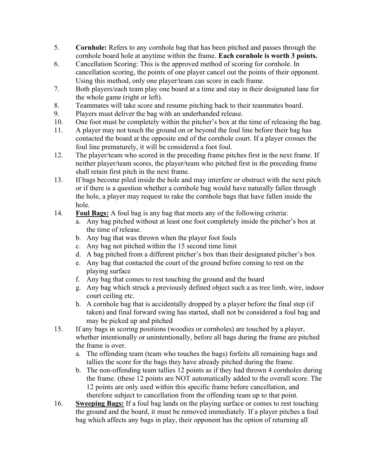- 5. Cornhole: Refers to any cornhole bag that has been pitched and passes through the cornhole board hole at anytime within the frame. Each cornhole is worth 3 points.
- 6. Cancellation Scoring: This is the approved method of scoring for cornhole. In cancellation scoring, the points of one player cancel out the points of their opponent. Using this method, only one player/team can score in each frame.
- 7. Both players/each team play one board at a time and stay in their designated lane for the whole game (right or left).
- 8. Teammates will take score and resume pitching back to their teammates board.
- 9. Players must deliver the bag with an underhanded release.
- 10. One foot must be completely within the pitcher's box at the time of releasing the bag.
- 11. A player may not touch the ground on or beyond the foul line before their bag has contacted the board at the opposite end of the cornhole court. If a player crosses the foul line prematurely, it will be considered a foot foul.
- 12. The player/team who scored in the preceding frame pitches first in the next frame. If neither player/team scores, the player/team who pitched first in the preceding frame shall retain first pitch in the next frame.
- 13. If bags become piled inside the hole and may interfere or obstruct with the next pitch or if there is a question whether a cornhole bag would have naturally fallen through the hole, a player may request to rake the cornhole bags that have fallen inside the hole.
- 14. Foul Bags: A foul bag is any bag that meets any of the following criteria:
	- a. Any bag pitched without at least one foot completely inside the pitcher's box at the time of release.
	- b. Any bag that was thrown when the player foot fouls
	- c. Any bag not pitched within the 15 second time limit
	- d. A bag pitched from a different pitcher's box than their designated pitcher's box
	- e. Any bag that contacted the court of the ground before coming to rest on the playing surface
	- f. Any bag that comes to rest touching the ground and the board
	- g. Any bag which struck a previously defined object such a as tree limb, wire, indoor court ceiling etc.
	- h. A cornhole bag that is accidentally dropped by a player before the final step (if taken) and final forward swing has started, shall not be considered a foul bag and may be picked up and pitched
- 15. If any bags in scoring positions (woodies or cornholes) are touched by a player, whether intentionally or unintentionally, before all bags during the frame are pitched the frame is over.
	- a. The offending team (team who touches the bags) forfeits all remaining bags and tallies the score for the bags they have already pitched during the frame.
	- b. The non-offending team tallies 12 points as if they had thrown 4 cornholes during the frame. (these 12 points are NOT automatically added to the overall score. The 12 points are only used within this specific frame before cancellation, and therefore subject to cancellation from the offending team up to that point.
- 16. Sweeping Bags: If a foul bag lands on the playing surface or comes to rest touching the ground and the board, it must be removed immediately. If a player pitches a foul bag which affects any bags in play, their opponent has the option of returning all